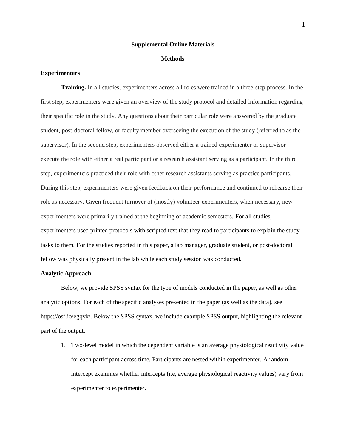#### **Supplemental Online Materials**

#### **Methods**

### **Experimenters**

**Training.** In all studies, experimenters across all roles were trained in a three-step process. In the first step, experimenters were given an overview of the study protocol and detailed information regarding their specific role in the study. Any questions about their particular role were answered by the graduate student, post-doctoral fellow, or faculty member overseeing the execution of the study (referred to as the supervisor). In the second step, experimenters observed either a trained experimenter or supervisor execute the role with either a real participant or a research assistant serving as a participant. In the third step, experimenters practiced their role with other research assistants serving as practice participants. During this step, experimenters were given feedback on their performance and continued to rehearse their role as necessary. Given frequent turnover of (mostly) volunteer experimenters, when necessary, new experimenters were primarily trained at the beginning of academic semesters. For all studies, experimenters used printed protocols with scripted text that they read to participants to explain the study tasks to them. For the studies reported in this paper, a lab manager, graduate student, or post-doctoral fellow was physically present in the lab while each study session was conducted.

### **Analytic Approach**

Below, we provide SPSS syntax for the type of models conducted in the paper, as well as other analytic options. For each of the specific analyses presented in the paper (as well as the data), see https://osf.io/egqvk/. Below the SPSS syntax, we include example SPSS output, highlighting the relevant part of the output.

1. Two-level model in which the dependent variable is an average physiological reactivity value for each participant across time. Participants are nested within experimenter. A random intercept examines whether intercepts (i.e, average physiological reactivity values) vary from experimenter to experimenter.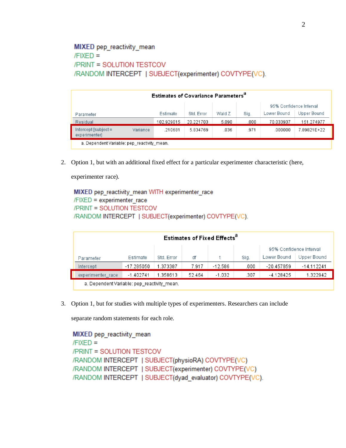# **MIXED** pep reactivity mean  $/FIXED =$ **/PRINT = SOLUTION TESTCOV** /RANDOM INTERCEPT | SUBJECT(experimenter) COVTYPE(VC).

|                                           | <b>Estimates of Covariance Parameters</b> <sup>a</sup> |            |            |        |      |                         |             |  |  |  |  |  |
|-------------------------------------------|--------------------------------------------------------|------------|------------|--------|------|-------------------------|-------------|--|--|--|--|--|
|                                           |                                                        |            |            |        |      | 95% Confidence Interval |             |  |  |  |  |  |
| Parameter                                 |                                                        | Estimate   | Std. Error | Wald Z | Sig. | Lower Bound             | Upper Bound |  |  |  |  |  |
| Residual                                  |                                                        | 102.929015 | 20.221703  | 5.090  | .000 | 70.033937               | 151.274977  |  |  |  |  |  |
| Intercept [subject =<br>experimenter]     | Variance                                               | .210681    | 5.834769   | .036   | 971  | .000000                 | 7.89821E+22 |  |  |  |  |  |
| a Denendent Variable: nen reactivity mean |                                                        |            |            |        |      |                         |             |  |  |  |  |  |

a. Dependent variable: pep\_reactivity\_mean.

2. Option 1, but with an additional fixed effect for a particular experimenter characteristic (here,

experimenter race).

MIXED pep\_reactivity\_mean WITH experimenter\_race  $/$ FIXED = experimenter race /PRINT = SOLUTION TESTCOV /RANDOM INTERCEPT | SUBJECT(experimenter) COVTYPE(VC).

| <b>Estimates of Fixed Effects<sup>a</sup></b> |                         |            |        |           |      |             |              |  |  |  |  |
|-----------------------------------------------|-------------------------|------------|--------|-----------|------|-------------|--------------|--|--|--|--|
|                                               | 95% Confidence Interval |            |        |           |      |             |              |  |  |  |  |
| Parameter                                     | Estimate                | Std. Error | df     |           | Sig. | Lower Bound | Upper Bound  |  |  |  |  |
| Intercept                                     | -17.285050              | 1.373387   | 7.917  | $-12.586$ | .000 | -20.457859  | $-14.112241$ |  |  |  |  |
| experimenter race                             | $-1.402741$             | 1.358613   | 52.464 | $-1.032$  | .307 | $-4.128425$ | 1.322942     |  |  |  |  |
| a. Dependent Variable: pep_reactivity_mean.   |                         |            |        |           |      |             |              |  |  |  |  |

3. Option 1, but for studies with multiple types of experimenters. Researchers can include

separate random statements for each role.

```
MIXED pep reactivity mean
/FIXED =/PRINT = SOLUTION TESTCOV
/RANDOM INTERCEPT | SUBJECT(physioRA) COVTYPE(VC)
/RANDOM INTERCEPT | SUBJECT(experimenter) COVTYPE(VC)
/RANDOM INTERCEPT | SUBJECT(dyad evaluator) COVTYPE(VC).
```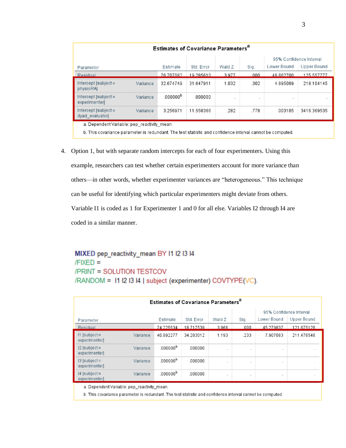| <b>Estimates of Covariance Parameters<sup>a</sup></b> |          |                      |            |        |      |             |             |  |  |  |
|-------------------------------------------------------|----------|----------------------|------------|--------|------|-------------|-------------|--|--|--|
| 95% Confidence Interval                               |          |                      |            |        |      |             |             |  |  |  |
| Parameter                                             |          | Estimate             | Std. Error | Wald Z | Sig. | Lower Bound | Upper Bound |  |  |  |
| Residual                                              |          | 76 707082            | 19 285610  | 3977   | 000  | 46862700    | 125 557777  |  |  |  |
| $Intercept [subject =$<br>physioRAI                   | Variance | 32.674749            | 31.647911  | 1.032  | .302 | 4.895089    | 218.104145  |  |  |  |
| $Intercept$ [subject =<br>experimenterl               | Variance | .000000 <sup>b</sup> | .000000    |        | ٠    | п.          |             |  |  |  |
| $Intercept$ [subject =<br>dyad evaluatorl             | Variance | 3.256971             | 11.558366  | .282   | .778 | .003105     | 3416.369535 |  |  |  |
| a Dependent Variable: pep-reactivity mean.            |          |                      |            |        |      |             |             |  |  |  |

b. This covariance parameter is redundant. The test statistic and confidence interval cannot be computed.

4. Option 1, but with separate random intercepts for each of four experimenters. Using this example, researchers can test whether certain experimenters account for more variance than others—in other words, whether experimenter variances are "heterogeneous." This technique can be useful for identifying which particular experimenters might deviate from others. Variable I1 is coded as 1 for Experimenter 1 and 0 for all else. Variables I2 through I4 are coded in a similar manner.

# MIXED pep\_reactivity\_mean BY I1 I2 I3 I4  $/FIXED =$ /PRINT = SOLUTION TESTCOV /RANDOM = 11 I2 I3 I4 | subject (experimenter) COVTYPE(VC).

| <b>Estimates of Covariance Parameters<sup>a</sup></b> |          |                         |            |            |              |             |                     |  |  |  |  |
|-------------------------------------------------------|----------|-------------------------|------------|------------|--------------|-------------|---------------------|--|--|--|--|
|                                                       |          | 95% Confidence Interval |            |            |              |             |                     |  |  |  |  |
| Parameter                                             |          | Estimate                | Std. Error | Wald Z     | Sig.         | Lower Bound | Upper Bound         |  |  |  |  |
| Residual                                              |          | 74.225534               | 18.717539  | 3.966      | .000         | 45.279837   | 121.675128          |  |  |  |  |
| $11$ [subject =<br>experimenterl                      | Variance | 40.892277               | 34.283012  | 1.193      | .233         | 7.907083    | 211.478548          |  |  |  |  |
| $12$ [subject =<br>experimenter]                      | Variance | .000000 <sup>b</sup>    | .000000    | $\cdot$    | $\cdot$      |             | $\cdot$             |  |  |  |  |
| $13$ [subject =<br>experimenter]                      | Variance | .000000 <sup>b</sup>    | .000000    | $\epsilon$ | $\mathbf{r}$ |             | $\scriptstyle\rm s$ |  |  |  |  |
| $14$ [subject =<br>experimenter]                      | Variance | .000000 <sup>b</sup>    | .000000    | $\cdot$    | ٠            |             | $\cdot$             |  |  |  |  |
| a. Dependent Variable: pep reactivity mean.           |          |                         |            |            |              |             |                     |  |  |  |  |

b. This covariance parameter is redundant. The test statistic and confidence interval cannot be computed.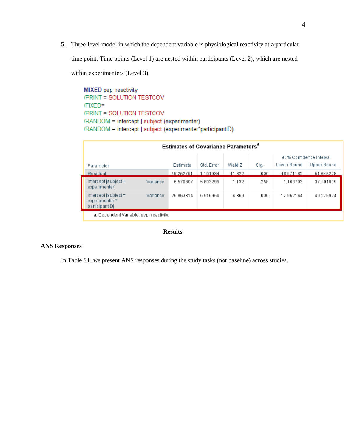5. Three-level model in which the dependent variable is physiological reactivity at a particular time point. Time points (Level 1) are nested within participants (Level 2), which are nested

within experimenters (Level 3).

**MIXED** pep\_reactivity /PRINT = SOLUTION TESTCOV /FIXED= /PRINT = SOLUTION TESTCOV /RANDOM = intercept | subject (experimenter) /RANDOM = intercept | subject (experimenter\*participantID).

| <b>Estimates of Covariance Parameters<sup>a</sup></b>     |          |           |            |        |      |                         |             |  |  |  |  |  |
|-----------------------------------------------------------|----------|-----------|------------|--------|------|-------------------------|-------------|--|--|--|--|--|
|                                                           |          |           |            |        |      | 95% Confidence Interval |             |  |  |  |  |  |
| Parameter                                                 |          | Estimate  | Std. Error | Wald Z | Sig. | Lower Bound             | Upper Bound |  |  |  |  |  |
| Residual                                                  |          | 49.252791 | 1.191934   | 41.322 | .000 | 46.971182               | 51.645228   |  |  |  |  |  |
| $Intercept [subject =$<br>experimenter]                   | Variance | 6.570807  | 5.803299   | 1.132  | .258 | 1.163703                | 37.101809   |  |  |  |  |  |
| $Intercept [subject =$<br>experimenter*<br>participantID] | Variance | 26.863814 | 5.516950   | 4.869  | .000 | 17.962164               | 40.176924   |  |  |  |  |  |
| a. Dependent Variable: pep reactivity.                    |          |           |            |        |      |                         |             |  |  |  |  |  |

### **Results**

### **ANS Responses**

In Table S1, we present ANS responses during the study tasks (not baseline) across studies.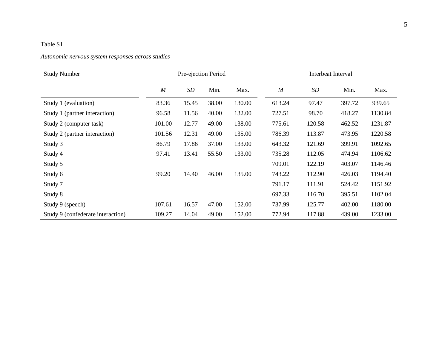### *Autonomic nervous system responses across studies*

| <b>Study Number</b>               |        | Pre-ejection Period |       |        |        | Interbeat Interval |        |         |
|-----------------------------------|--------|---------------------|-------|--------|--------|--------------------|--------|---------|
|                                   | M      | SD                  | Min.  | Max.   | M      | SD                 | Min.   | Max.    |
| Study 1 (evaluation)              | 83.36  | 15.45               | 38.00 | 130.00 | 613.24 | 97.47              | 397.72 | 939.65  |
| Study 1 (partner interaction)     | 96.58  | 11.56               | 40.00 | 132.00 | 727.51 | 98.70              | 418.27 | 1130.84 |
| Study 2 (computer task)           | 101.00 | 12.77               | 49.00 | 138.00 | 775.61 | 120.58             | 462.52 | 1231.87 |
| Study 2 (partner interaction)     | 101.56 | 12.31               | 49.00 | 135.00 | 786.39 | 113.87             | 473.95 | 1220.58 |
| Study 3                           | 86.79  | 17.86               | 37.00 | 133.00 | 643.32 | 121.69             | 399.91 | 1092.65 |
| Study 4                           | 97.41  | 13.41               | 55.50 | 133.00 | 735.28 | 112.05             | 474.94 | 1106.62 |
| Study 5                           |        |                     |       |        | 709.01 | 122.19             | 403.07 | 1146.46 |
| Study 6                           | 99.20  | 14.40               | 46.00 | 135.00 | 743.22 | 112.90             | 426.03 | 1194.40 |
| Study 7                           |        |                     |       |        | 791.17 | 111.91             | 524.42 | 1151.92 |
| Study 8                           |        |                     |       |        | 697.33 | 116.70             | 395.51 | 1102.04 |
| Study 9 (speech)                  | 107.61 | 16.57               | 47.00 | 152.00 | 737.99 | 125.77             | 402.00 | 1180.00 |
| Study 9 (confederate interaction) | 109.27 | 14.04               | 49.00 | 152.00 | 772.94 | 117.88             | 439.00 | 1233.00 |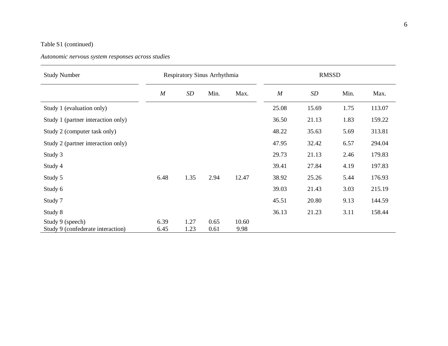## Table S1 (continued)

### *Autonomic nervous system responses across studies*

| <b>Study Number</b>                |      |      | Respiratory Sinus Arrhythmia |       |       | <b>RMSSD</b> |      |        |
|------------------------------------|------|------|------------------------------|-------|-------|--------------|------|--------|
|                                    | M    | SD   | Min.                         | Max.  | M     | SD           | Min. | Max.   |
| Study 1 (evaluation only)          |      |      |                              |       | 25.08 | 15.69        | 1.75 | 113.07 |
| Study 1 (partner interaction only) |      |      |                              |       | 36.50 | 21.13        | 1.83 | 159.22 |
| Study 2 (computer task only)       |      |      |                              |       | 48.22 | 35.63        | 5.69 | 313.81 |
| Study 2 (partner interaction only) |      |      |                              |       | 47.95 | 32.42        | 6.57 | 294.04 |
| Study 3                            |      |      |                              |       | 29.73 | 21.13        | 2.46 | 179.83 |
| Study 4                            |      |      |                              |       | 39.41 | 27.84        | 4.19 | 197.83 |
| Study 5                            | 6.48 | 1.35 | 2.94                         | 12.47 | 38.92 | 25.26        | 5.44 | 176.93 |
| Study 6                            |      |      |                              |       | 39.03 | 21.43        | 3.03 | 215.19 |
| Study 7                            |      |      |                              |       | 45.51 | 20.80        | 9.13 | 144.59 |
| Study 8                            |      |      |                              |       | 36.13 | 21.23        | 3.11 | 158.44 |
| Study 9 (speech)                   | 6.39 | 1.27 | 0.65                         | 10.60 |       |              |      |        |
| Study 9 (confederate interaction)  | 6.45 | 1.23 | 0.61                         | 9.98  |       |              |      |        |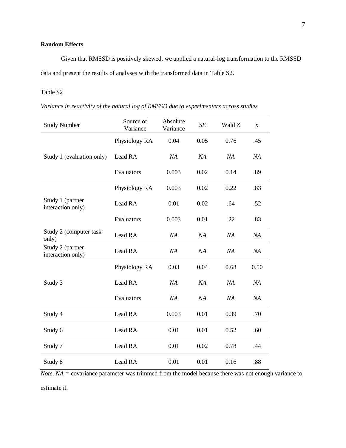### **Random Effects**

Given that RMSSD is positively skewed, we applied a natural-log transformation to the RMSSD data and present the results of analyses with the transformed data in Table S2.

### Table S2

*Variance in reactivity of the natural log of RMSSD due to experimenters across studies* 

| <b>Study Number</b>                   | Source of<br>Variance | Absolute<br>Variance | SE   | Wald Z | $\boldsymbol{p}$ |
|---------------------------------------|-----------------------|----------------------|------|--------|------------------|
|                                       | Physiology RA         | 0.04                 | 0.05 | 0.76   | .45              |
| Study 1 (evaluation only)             | Lead RA               | NA                   | NA   | NA     | NA               |
|                                       | Evaluators            | 0.003                | 0.02 | 0.14   | .89              |
|                                       | Physiology RA         | 0.003                | 0.02 | 0.22   | .83              |
| Study 1 (partner<br>interaction only) | Lead RA               | 0.01                 | 0.02 | .64    | .52              |
|                                       | Evaluators            | 0.003                | 0.01 | .22    | .83              |
| Study 2 (computer task<br>only)       | Lead RA               | NA                   | NA   | NA     | NA               |
| Study 2 (partner<br>interaction only) | Lead RA               | NA                   | NA   | NA     | NA               |
|                                       | Physiology RA         | 0.03                 | 0.04 | 0.68   | 0.50             |
| Study 3                               | Lead RA               | NA                   | NA   | NA     | NA               |
|                                       | Evaluators            | NA                   | NA   | NA     | NA               |
| Study 4                               | Lead RA               | 0.003                | 0.01 | 0.39   | .70              |
| Study 6                               | Lead RA               | 0.01                 | 0.01 | 0.52   | .60              |
| Study 7                               | Lead RA               | 0.01                 | 0.02 | 0.78   | .44              |
| Study 8                               | Lead RA               | 0.01                 | 0.01 | 0.16   | .88              |

*Note*. *NA =* covariance parameter was trimmed from the model because there was not enough variance to estimate it.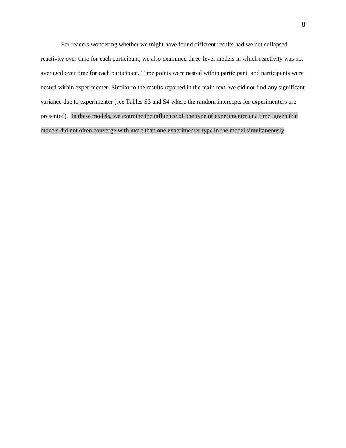For readers wondering whether we might have found different results had we not collapsed reactivity over time for each participant, we also examined three-level models in which reactivity was not averaged over time for each participant. Time points were nested within participant, and participants were nested within experimenter. Similar to the results reported in the main text, we did not find any significant variance due to experimenter (see Tables S3 and S4 where the random intercepts for experimenters are presented). In these models, we examine the influence of one type of experimenter at a time, given that models did not often converge with more than one experimenter type in the model simultaneously.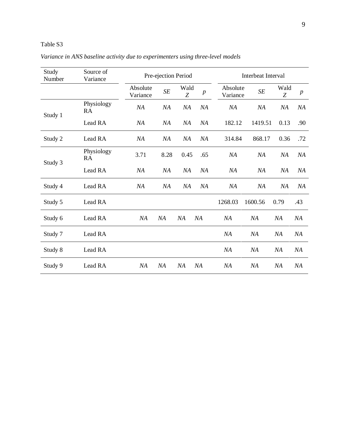| Study<br>Number | Source of<br>Variance |                      | Pre-ejection Period |           |         |                      | Interbeat Interval |           |                  |
|-----------------|-----------------------|----------------------|---------------------|-----------|---------|----------------------|--------------------|-----------|------------------|
|                 |                       | Absolute<br>Variance | SE                  | Wald<br>Z | $\,p\,$ | Absolute<br>Variance | $\cal SE$          | Wald<br>Z | $\boldsymbol{p}$ |
| Study 1         | Physiology<br>RA      | NA                   | NA                  | NA        | NA      | NA                   | NA                 | NA        | NA               |
|                 | Lead RA               | NA                   | NA                  | NA        | NA      | 182.12               | 1419.51            | 0.13      | .90              |
| Study 2         | Lead RA               | NA                   | NA                  | NA        | NA      | 314.84               | 868.17             | 0.36      | .72              |
|                 | Physiology<br>RA      | 3.71                 | 8.28                | 0.45      | .65     | NA                   | NA                 | NA        | NА               |
| Study 3         | Lead RA               | NA                   | NA                  | NA        | NA      | NA                   | NA                 | NA        | ΝA               |
| Study 4         | Lead RA               | NA                   | NA                  | NA        | NA      | NA                   | NA                 | NA        | NА               |
| Study 5         | Lead RA               |                      |                     |           |         | 1268.03              | 1600.56            | 0.79      | .43              |
| Study 6         | Lead RA               | NA                   | NA                  | NA        | NA      | NA                   | NA                 | NA        | NA               |
| Study 7         | Lead RA               |                      |                     |           |         | NA                   | NA                 | NA        | NA               |
| Study 8         | Lead RA               |                      |                     |           |         | NA                   | NA                 | NA        | NA               |
| Study 9         | Lead RA               | NA                   | NA                  | NA        | NA      | NA                   | NA                 | <b>NA</b> | NA               |

*Variance in ANS baseline activity due to experimenters using three-level models*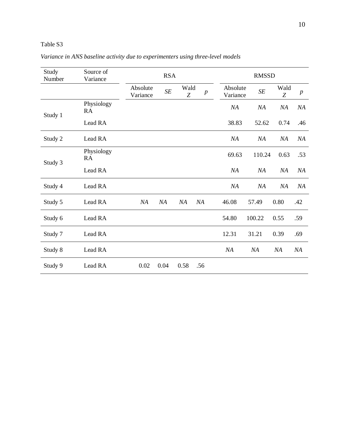| Study<br>Number | Source of<br>Variance |                      | <b>RSA</b> |           |                  |                      | <b>RMSSD</b> |           |                  |
|-----------------|-----------------------|----------------------|------------|-----------|------------------|----------------------|--------------|-----------|------------------|
|                 |                       | Absolute<br>Variance | $\cal SE$  | Wald<br>Z | $\boldsymbol{p}$ | Absolute<br>Variance | $\cal SE$    | Wald<br>Z | $\boldsymbol{p}$ |
| Study 1         | Physiology<br>RA      |                      |            |           |                  | NA                   | NA           | NA        | NA               |
|                 | Lead RA               |                      |            |           |                  | 38.83                | 52.62        | 0.74      | .46              |
| Study 2         | Lead RA               |                      |            |           |                  | NA                   | NA           | NA        | NA               |
|                 | Physiology<br>RA      |                      |            |           |                  | 69.63                | 110.24       | 0.63      | .53              |
| Study 3         | Lead RA               |                      |            |           |                  | NA                   | NA           | NA        | NA               |
| Study 4         | Lead RA               |                      |            |           |                  | NA                   | NA           | NA        | NA               |
| Study 5         | Lead RA               | NA                   | NA         | NA        | NA               | 46.08                | 57.49        | 0.80      | .42              |
| Study 6         | Lead RA               |                      |            |           |                  | 54.80                | 100.22       | 0.55      | .59              |
| Study 7         | Lead RA               |                      |            |           |                  | 12.31                | 31.21        | 0.39      | .69              |
| Study 8         | Lead RA               |                      |            |           |                  | NA                   | NA           | NA        | NA               |
| Study 9         | Lead RA               | 0.02                 | 0.04       | 0.58      | .56              |                      |              |           |                  |

*Variance in ANS baseline activity due to experimenters using three-level models*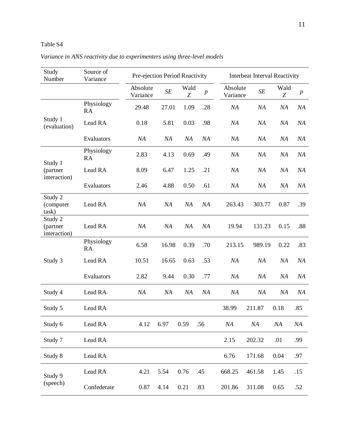|  |  | Variance in ANS reactivity due to experimenters using three-level models |  |  |
|--|--|--------------------------------------------------------------------------|--|--|
|  |  |                                                                          |  |  |

| Study<br>Number                     | Source of<br>Variance | Pre-ejection Period Reactivity |           |           |                  |                      | Interbeat Interval Reactivity |           |                  |
|-------------------------------------|-----------------------|--------------------------------|-----------|-----------|------------------|----------------------|-------------------------------|-----------|------------------|
|                                     |                       | Absolute<br>Variance           | $\cal SE$ | Wald<br>Z | $\boldsymbol{p}$ | Absolute<br>Variance | SE                            | Wald<br>Z | $\boldsymbol{p}$ |
|                                     | Physiology<br>RA      | 29.48                          | 27.01     | 1.09      | .28              | NA                   | NA                            | NA        | NA               |
| Study 1<br>(evaluation)             | Lead RA               | 0.18                           | 5.81      | 0.03      | .98              | NA                   | NA                            | NA        | NA               |
|                                     | Evaluators            | NA                             | NA        | NA        | NA               | NA                   | NA                            | NA        | NA               |
| Study 1                             | Physiology<br>RA      | 2.83                           | 4.13      | 0.69      | .49              | NA                   | NA                            | NA        | NA               |
| (partner<br>interaction)            | Lead RA               | 8.09                           | 6.47      | 1.25      | .21              | NA                   | NA                            | NA        | NA               |
|                                     | Evaluators            | 2.46                           | 4.88      | 0.50      | .61              | NA                   | NA                            | NA        | NA               |
| Study 2<br>(computer<br>task)       | Lead RA               | NA                             | NA        | NA        | NA               | 263.43               | 303.77                        | 0.87      | .39              |
| Study 2<br>(partner<br>interaction) | Lead RA               | NA                             | NA        | NA        | NA               | 19.94                | 131.23                        | 0.15      | .88              |
|                                     | Physiology<br>RA      | 6.58                           | 16.98     | 0.39      | .70              | 213.15               | 989.19                        | 0.22      | .83              |
| Study 3                             | Lead RA               | 10.51                          | 16.65     | 0.63      | .53              | NA                   | NA                            | NA        | NA               |
|                                     | Evaluators            | 2.82                           | 9.44      | 0.30      | .77              | NA                   | NA                            | NA        | NA               |
| Study 4                             | Lead RA               | NA                             | NA        | NA        | NA               | NA                   | NA                            | NA        | NA               |
| Study 5                             | Lead RA               |                                |           |           |                  | 38.99                | 211.87                        | 0.18      | .85              |
| Study 6                             | Lead RA               | 4.12                           | 6.97      | 0.59      | .56              | NA                   | NA                            | NA        | NA               |
| Study 7                             | Lead RA               |                                |           |           |                  | 2.15                 | 202.32                        | .01       | .99              |
| Study 8                             | Lead RA               |                                |           |           |                  | 6.76                 | 171.68                        | 0.04      | .97              |
| Study 9                             | Lead RA               | 4.21                           | 5.54      | 0.76      | .45              | 668.25               | 461.58                        | 1.45      | .15              |
| (speech)                            | Confederate           | 0.87                           | 4.14      | 0.21      | .83              | 201.86               | 311.08                        | 0.65      | .52              |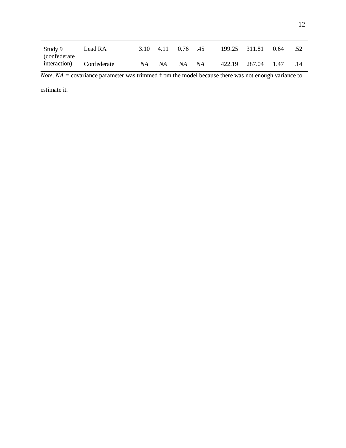| Study 9<br><i>confederate</i> | Lead RA |    |     | 3.10 4.11 0.76 .45 |    | 199.25 311.81 0.64 |     |
|-------------------------------|---------|----|-----|--------------------|----|--------------------|-----|
| interaction) Confederate      |         | NA | NA. | NA.                | NA | 422.19 287.04 1.47 | .14 |

*Note*. *NA =* covariance parameter was trimmed from the model because there was not enough variance to

estimate it.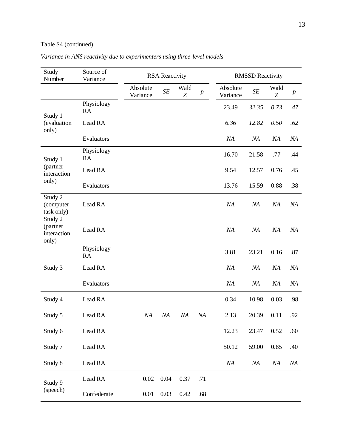# Table S4 (continued)

| Study<br>Number                             | Source of<br>Variance   |                      | <b>RSA Reactivity</b> |                          |                  |                      | <b>RMSSD Reactivity</b> |           |                  |
|---------------------------------------------|-------------------------|----------------------|-----------------------|--------------------------|------------------|----------------------|-------------------------|-----------|------------------|
|                                             |                         | Absolute<br>Variance | SE                    | Wald<br>$\boldsymbol{Z}$ | $\boldsymbol{p}$ | Absolute<br>Variance | SE                      | Wald<br>Z | $\boldsymbol{p}$ |
|                                             | Physiology<br><b>RA</b> |                      |                       |                          |                  | 23.49                | 32.35                   | 0.73      | .47              |
| Study 1<br>(evaluation<br>only)             | Lead RA                 |                      |                       |                          |                  | 6.36                 | 12.82                   | 0.50      | .62              |
|                                             | Evaluators              |                      |                       |                          |                  | NA                   | NA                      | NA        | NA               |
| Study 1                                     | Physiology<br>RA        |                      |                       |                          |                  | 16.70                | 21.58                   | .77       | .44              |
| (partner<br>interaction                     | Lead RA                 |                      |                       |                          |                  | 9.54                 | 12.57                   | 0.76      | .45              |
| only)                                       | Evaluators              |                      |                       |                          |                  | 13.76                | 15.59                   | 0.88      | .38              |
| Study 2<br>(computer<br>task only)          | Lead RA                 |                      |                       |                          |                  | NA                   | NA                      | NA        | NA               |
| Study 2<br>(partner<br>interaction<br>only) | Lead RA                 |                      |                       |                          |                  | NA                   | NA                      | NA        | NA               |
|                                             | Physiology<br><b>RA</b> |                      |                       |                          |                  | 3.81                 | 23.21                   | 0.16      | .87              |
| Study 3                                     | Lead RA                 |                      |                       |                          |                  | NA                   | NA                      | NA        | NA               |
|                                             | Evaluators              |                      |                       |                          |                  | NA                   | NA                      | NA        | NA               |
| Study 4                                     | Lead RA                 |                      |                       |                          |                  | 0.34                 | 10.98                   | 0.03      | .98              |
| Study 5                                     | Lead RA                 | NA                   | NA                    | NA                       | NA               | 2.13                 | 20.39                   | 0.11      | .92              |
| Study 6                                     | Lead RA                 |                      |                       |                          |                  | 12.23                | 23.47                   | 0.52      | .60              |
| Study 7                                     | Lead RA                 |                      |                       |                          |                  | 50.12                | 59.00                   | 0.85      | .40              |
| Study 8                                     | Lead RA                 |                      |                       |                          |                  | NA                   | NA                      | NA        | NA               |
| Study 9                                     | Lead RA                 | 0.02                 | 0.04                  | 0.37                     | .71              |                      |                         |           |                  |
| (speech)                                    | Confederate             | 0.01                 | 0.03                  | 0.42                     | .68              |                      |                         |           |                  |

# *Variance in ANS reactivity due to experimenters using three-level models*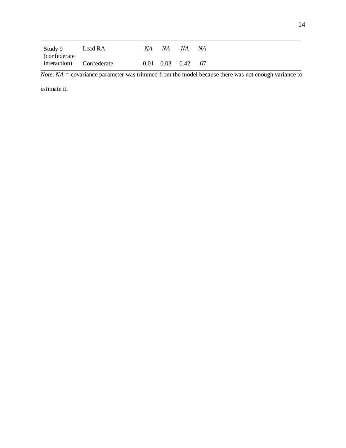| Study 9 Lead RA    |                          |  | NA NA NA NA              |  |
|--------------------|--------------------------|--|--------------------------|--|
| <i>confederate</i> |                          |  |                          |  |
|                    | interaction) Confederate |  | $0.01$ $0.03$ $0.42$ .67 |  |

*Note*. *NA =* covariance parameter was trimmed from the model because there was not enough variance to

estimate it.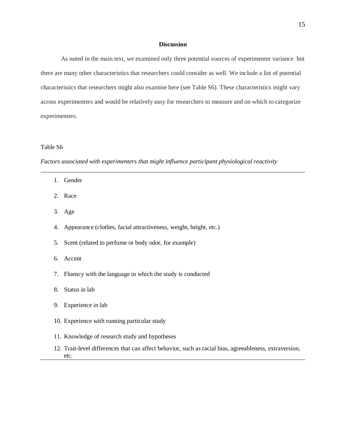### **Discussion**

As noted in the main text, we examined only three potential sources of experimenter variance but there are many other characteristics that researchers could consider as well. We include a list of potential characteristics that researchers might also examine here (see Table S6). These characteristics might vary across experimenters and would be relatively easy for researchers to measure and on which to categorize experimenters.

### Table S6

*Factors associated with experimenters that might influence participant physiological reactivity*

- 1. Gender
- 2. Race
- 3. Age
- 4. Appearance (clothes, facial attractiveness, weight, height, etc.)
- 5. Scent (related to perfume or body odor, for example)
- 6. Accent
- 7. Fluency with the language in which the study is conducted
- 8. Status in lab
- 9. Experience in lab
- 10. Experience with running particular study
- 11. Knowledge of research study and hypotheses
- 12. Trait-level differences that can affect behavior, such as racial bias, agreeableness, extraversion, etc.